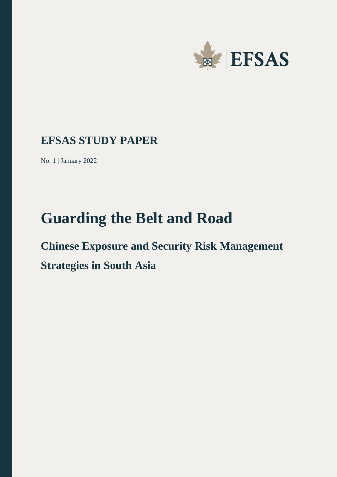

### **EFSAS STUDY PAPER**

No. 1 | January 2022

# **Guarding the Belt and Road**

## **Chinese Exposure and Security Risk Management Strategies in South Asia**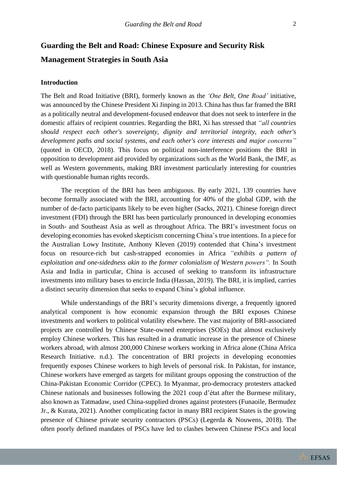### **Guarding the Belt and Road: Chinese Exposure and Security Risk Management Strategies in South Asia**

#### **Introduction**

The Belt and Road Initiative (BRI), formerly known as the *'One Belt, One Road'* initiative, was announced by the Chinese President Xi Jinping in 2013. China has thus far framed the BRI as a politically neutral and development-focused endeavor that does not seek to interfere in the domestic affairs of recipient countries. Regarding the BRI, Xi has stressed that *"all countries should respect each other's sovereignty, dignity and territorial integrity, each other's development paths and social systems, and each other's core interests and major concerns"* (quoted in OECD, 2018). This focus on political non-interference positions the BRI in opposition to development aid provided by organizations such as the World Bank, the IMF, as well as Western governments, making BRI investment particularly interesting for countries with questionable human rights records.

The reception of the BRI has been ambiguous. By early 2021, 139 countries have become formally associated with the BRI, accounting for 40% of the global GDP, with the number of de-facto participants likely to be even higher (Sacks, 2021). Chinese foreign direct investment (FDI) through the BRI has been particularly pronounced in developing economies in South- and Southeast Asia as well as throughout Africa. The BRI's investment focus on developing economies has evoked skepticism concerning China's true intentions. In a piece for the Australian Lowy Institute, Anthony Kleven (2019) contended that China's investment focus on resource-rich but cash-strapped economies in Africa *"exhibits a pattern of exploitation and one-sidedness akin to the former colonialism of Western powers".* In South Asia and India in particular, China is accused of seeking to transform its infrastructure investments into military bases to encircle India (Hassan, 2019). The BRI, it is implied, carries a distinct security dimension that seeks to expand China's global influence.

While understandings of the BRI's security dimensions diverge, a frequently ignored analytical component is how economic expansion through the BRI exposes Chinese investments and workers to political volatility elsewhere. The vast majority of BRI-associated projects are controlled by Chinese State-owned enterprises (SOEs) that almost exclusively employ Chinese workers. This has resulted in a dramatic increase in the presence of Chinese workers abroad, with almost 200,000 Chinese workers working in Africa alone (China Africa Research Initiative. n.d.). The concentration of BRI projects in developing economies frequently exposes Chinese workers to high levels of personal risk. In Pakistan, for instance, Chinese workers have emerged as targets for militant groups opposing the construction of the China-Pakistan Economic Corridor (CPEC). In Myanmar, pro-democracy protesters attacked Chinese nationals and businesses following the 2021 coup d'état after the Burmese military, also known as Tatmadaw, used China-supplied drones against protesters (Funaoile, Bermudez Jr., & Kurata, 2021). Another complicating factor in many BRI recipient States is the growing presence of Chinese private security contractors (PSCs) (Legerda & Nouwens, 2018). The often poorly defined mandates of PSCs have led to clashes between Chinese PSCs and local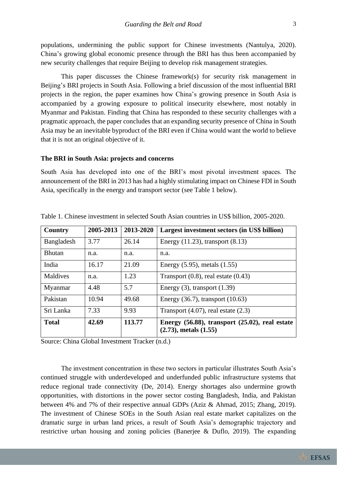populations, undermining the public support for Chinese investments (Nantulya, 2020). China's growing global economic presence through the BRI has thus been accompanied by new security challenges that require Beijing to develop risk management strategies.

This paper discusses the Chinese framework(s) for security risk management in Beijing's BRI projects in South Asia. Following a brief discussion of the most influential BRI projects in the region, the paper examines how China's growing presence in South Asia is accompanied by a growing exposure to political insecurity elsewhere, most notably in Myanmar and Pakistan. Finding that China has responded to these security challenges with a pragmatic approach, the paper concludes that an expanding security presence of China in South Asia may be an inevitable byproduct of the BRI even if China would want the world to believe that it is not an original objective of it.

#### **The BRI in South Asia: projects and concerns**

South Asia has developed into one of the BRI's most pivotal investment spaces. The announcement of the BRI in 2013 has had a highly stimulating impact on Chinese FDI in South Asia, specifically in the energy and transport sector (see Table 1 below).

| Country       | 2005-2013 | 2013-2020 | Largest investment sectors (in US\$ billion)                                       |
|---------------|-----------|-----------|------------------------------------------------------------------------------------|
| Bangladesh    | 3.77      | 26.14     | Energy $(11.23)$ , transport $(8.13)$                                              |
| <b>Bhutan</b> | n.a.      | n.a.      | n.a.                                                                               |
| India         | 16.17     | 21.09     | Energy $(5.95)$ , metals $(1.55)$                                                  |
| Maldives      | n.a.      | 1.23      | Transport $(0.8)$ , real estate $(0.43)$                                           |
| Myanmar       | 4.48      | 5.7       | Energy $(3)$ , transport $(1.39)$                                                  |
| Pakistan      | 10.94     | 49.68     | Energy $(36.7)$ , transport $(10.63)$                                              |
| Sri Lanka     | 7.33      | 9.93      | Transport $(4.07)$ , real estate $(2.3)$                                           |
| <b>Total</b>  | 42.69     | 113.77    | Energy $(56.88)$ , transport $(25.02)$ , real estate<br>$(2.73)$ , metals $(1.55)$ |

Table 1. Chinese investment in selected South Asian countries in US\$ billion, 2005-2020.

Source: China Global Investment Tracker (n.d.)

The investment concentration in these two sectors in particular illustrates South Asia's continued struggle with underdeveloped and underfunded public infrastructure systems that reduce regional trade connectivity (De, 2014). Energy shortages also undermine growth opportunities, with distortions in the power sector costing Bangladesh, India, and Pakistan between 4% and 7% of their respective annual GDPs (Aziz & Ahmad, 2015; Zhang, 2019). The investment of Chinese SOEs in the South Asian real estate market capitalizes on the dramatic surge in urban land prices, a result of South Asia's demographic trajectory and restrictive urban housing and zoning policies (Banerjee & Duflo, 2019). The expanding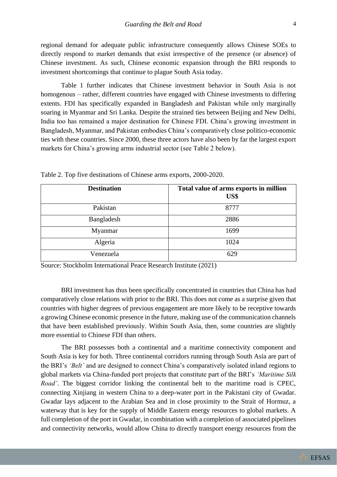regional demand for adequate public infrastructure consequently allows Chinese SOEs to directly respond to market demands that exist irrespective of the presence (or absence) of Chinese investment. As such, Chinese economic expansion through the BRI responds to investment shortcomings that continue to plague South Asia today.

Table 1 further indicates that Chinese investment behavior in South Asia is not homogenous – rather, different countries have engaged with Chinese investments to differing extents. FDI has specifically expanded in Bangladesh and Pakistan while only marginally soaring in Myanmar and Sri Lanka. Despite the strained ties between Beijing and New Delhi, India too has remained a major destination for Chinese FDI. China's growing investment in Bangladesh, Myanmar, and Pakistan embodies China's comparatively close politico-economic ties with these countries. Since 2000, these three actors have also been by far the largest export markets for China's growing arms industrial sector (see Table 2 below).

| <b>Destination</b> | Total value of arms exports in million<br>US\$ |
|--------------------|------------------------------------------------|
| Pakistan           | 8777                                           |
| Bangladesh         | 2886                                           |
| Myanmar            | 1699                                           |
| Algeria            | 1024                                           |
| Venezuela          | 629                                            |

Table 2. Top five destinations of Chinese arms exports, 2000-2020.

Source: Stockholm International Peace Research Institute (2021)

BRI investment has thus been specifically concentrated in countries that China has had comparatively close relations with prior to the BRI. This does not come as a surprise given that countries with higher degrees of previous engagement are more likely to be receptive towards a growing Chinese economic presence in the future, making use of the communication channels that have been established previously. Within South Asia, then, some countries are slightly more essential to Chinese FDI than others.

The BRI possesses both a continental and a maritime connectivity component and South Asia is key for both. Three continental corridors running through South Asia are part of the BRI's *'Belt'* and are designed to connect China's comparatively isolated inland regions to global markets via China-funded port projects that constitute part of the BRI's *'Maritime Silk Road'*. The biggest corridor linking the continental belt to the maritime road is CPEC, connecting Xinjiang in western China to a deep-water port in the Pakistani city of Gwadar. Gwadar lays adjacent to the Arabian Sea and in close proximity to the Strait of Hormuz, a waterway that is key for the supply of Middle Eastern energy resources to global markets. A full completion of the port in Gwadar, in combination with a completion of associated pipelines and connectivity networks, would allow China to directly transport energy resources from the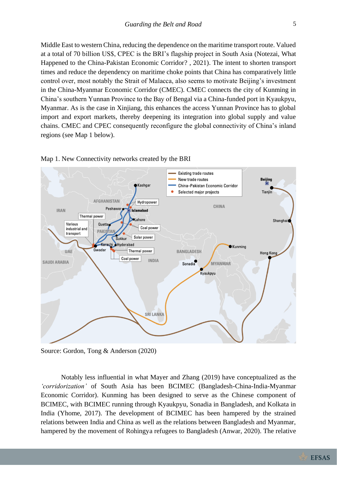Middle East to western China, reducing the dependence on the maritime transport route. Valued at a total of 70 billion US\$, CPEC is the BRI's flagship project in South Asia (Notezai, What Happened to the China-Pakistan Economic Corridor? , 2021). The intent to shorten transport times and reduce the dependency on maritime choke points that China has comparatively little control over, most notably the Strait of Malacca, also seems to motivate Beijing's investment in the China-Myanmar Economic Corridor (CMEC). CMEC connects the city of Kunming in China's southern Yunnan Province to the Bay of Bengal via a China-funded port in Kyaukpyu, Myanmar. As is the case in Xinjiang, this enhances the access Yunnan Province has to global import and export markets, thereby deepening its integration into global supply and value chains. CMEC and CPEC consequently reconfigure the global connectivity of China's inland regions (see Map 1 below).





Notably less influential in what Mayer and Zhang (2019) have conceptualized as the *'corridorization'* of South Asia has been BCIMEC (Bangladesh-China-India-Myanmar Economic Corridor). Kunming has been designed to serve as the Chinese component of BCIMEC, with BCIMEC running through Kyaukpyu, Sonadia in Bangladesh, and Kolkata in India (Yhome, 2017). The development of BCIMEC has been hampered by the strained relations between India and China as well as the relations between Bangladesh and Myanmar, hampered by the movement of Rohingya refugees to Bangladesh (Anwar, 2020). The relative

Source: Gordon, Tong & Anderson (2020)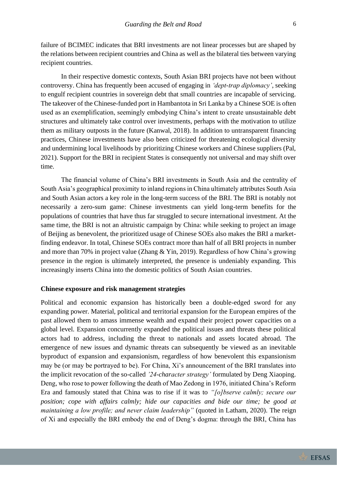failure of BCIMEC indicates that BRI investments are not linear processes but are shaped by the relations between recipient countries and China as well as the bilateral ties between varying recipient countries.

In their respective domestic contexts, South Asian BRI projects have not been without controversy. China has frequently been accused of engaging in *'dept-trap diplomacy'*, seeking to engulf recipient countries in sovereign debt that small countries are incapable of servicing. The takeover of the Chinese-funded port in Hambantota in Sri Lanka by a Chinese SOE is often used as an exemplification, seemingly embodying China's intent to create unsustainable debt structures and ultimately take control over investments, perhaps with the motivation to utilize them as military outposts in the future (Kanwal, 2018). In addition to untransparent financing practices, Chinese investments have also been criticized for threatening ecological diversity and undermining local livelihoods by prioritizing Chinese workers and Chinese suppliers (Pal, 2021). Support for the BRI in recipient States is consequently not universal and may shift over time.

The financial volume of China's BRI investments in South Asia and the centrality of South Asia's geographical proximity to inland regions in China ultimately attributes South Asia and South Asian actors a key role in the long-term success of the BRI. The BRI is notably not necessarily a zero-sum game: Chinese investments can yield long-term benefits for the populations of countries that have thus far struggled to secure international investment. At the same time, the BRI is not an altruistic campaign by China: while seeking to project an image of Beijing as benevolent, the prioritized usage of Chinese SOEs also makes the BRI a marketfinding endeavor. In total, Chinese SOEs contract more than half of all BRI projects in number and more than 70% in project value (Zhang & Yin, 2019). Regardless of how China's growing presence in the region is ultimately interpreted, the presence is undeniably expanding. This increasingly inserts China into the domestic politics of South Asian countries.

#### **Chinese exposure and risk management strategies**

Political and economic expansion has historically been a double-edged sword for any expanding power. Material, political and territorial expansion for the European empires of the past allowed them to amass immense wealth and expand their project power capacities on a global level. Expansion concurrently expanded the political issues and threats these political actors had to address, including the threat to nationals and assets located abroad. The emergence of new issues and dynamic threats can subsequently be viewed as an inevitable byproduct of expansion and expansionism, regardless of how benevolent this expansionism may be (or may be portrayed to be). For China, Xi's announcement of the BRI translates into the implicit revocation of the so-called *'24-character strategy'* formulated by Deng Xiaoping. Deng, who rose to power following the death of Mao Zedong in 1976, initiated China's Reform Era and famously stated that China was to rise if it was to *"[o]bserve calmly; secure our position; cope with affairs calmly; hide our capacities and bide our time; be good at maintaining a low profile; and never claim leadership"* (quoted in Latham, 2020). The reign of Xi and especially the BRI embody the end of Deng's dogma: through the BRI, China has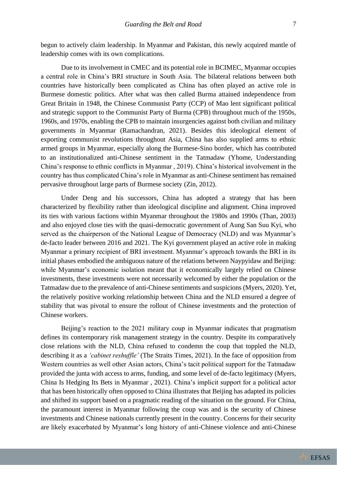begun to actively claim leadership. In Myanmar and Pakistan, this newly acquired mantle of leadership comes with its own complications.

Due to its involvement in CMEC and its potential role in BCIMEC, Myanmar occupies a central role in China's BRI structure in South Asia. The bilateral relations between both countries have historically been complicated as China has often played an active role in Burmese domestic politics. After what was then called Burma attained independence from Great Britain in 1948, the Chinese Communist Party (CCP) of Mao lent significant political and strategic support to the Communist Party of Burma (CPB) throughout much of the 1950s, 1960s, and 1970s, enabling the CPB to maintain insurgencies against both civilian and military governments in Myanmar (Ramachandran, 2021). Besides this ideological element of exporting communist revolutions throughout Asia, China has also supplied arms to ethnic armed groups in Myanmar, especially along the Burmese-Sino border, which has contributed to an institutionalized anti-Chinese sentiment in the Tatmadaw (Yhome, Understanding China's response to ethnic conflicts in Myanmar , 2019). China's historical involvement in the country has thus complicated China's role in Myanmar as anti-Chinese sentiment has remained pervasive throughout large parts of Burmese society (Zin, 2012).

Under Deng and his successors, China has adopted a strategy that has been characterized by flexibility rather than ideological discipline and alignment. China improved its ties with various factions within Myanmar throughout the 1980s and 1990s (Than, 2003) and also enjoyed close ties with the quasi-democratic government of Aung San Suu Kyi, who served as the chairperson of the National League of Democracy (NLD) and was Myanmar's de-facto leader between 2016 and 2021. The Kyi government played an active role in making Myanmar a primary recipient of BRI investment. Myanmar's approach towards the BRI in its initial phases embodied the ambiguous nature of the relations between Naypyidaw and Beijing: while Myanmar's economic isolation meant that it economically largely relied on Chinese investments, these investments were not necessarily welcomed by either the population or the Tatmadaw due to the prevalence of anti-Chinese sentiments and suspicions (Myers, 2020). Yet, the relatively positive working relationship between China and the NLD ensured a degree of stability that was pivotal to ensure the rollout of Chinese investments and the protection of Chinese workers.

Beijing's reaction to the 2021 military coup in Myanmar indicates that pragmatism defines its contemporary risk management strategy in the country. Despite its comparatively close relations with the NLD, China refused to condemn the coup that toppled the NLD, describing it as a *'cabinet reshuffle'* (The Straits Times, 2021). In the face of opposition from Western countries as well other Asian actors, China's tacit political support for the Tatmadaw provided the junta with access to arms, funding, and some level of de-facto legitimacy (Myers, China Is Hedging Its Bets in Myanmar , 2021). China's implicit support for a political actor that has been historically often opposed to China illustrates that Beijing has adapted its policies and shifted its support based on a pragmatic reading of the situation on the ground. For China, the paramount interest in Myanmar following the coup was and is the security of Chinese investments and Chinese nationals currently present in the country. Concerns for their security are likely exacerbated by Myanmar's long history of anti-Chinese violence and anti-Chinese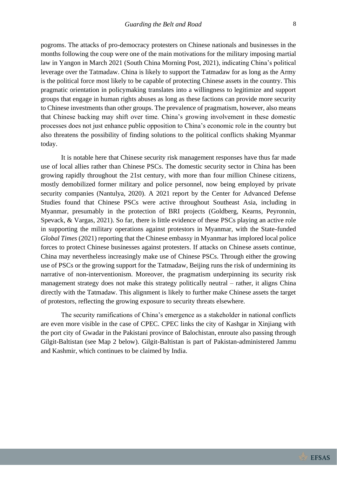pogroms. The attacks of pro-democracy protesters on Chinese nationals and businesses in the months following the coup were one of the main motivations for the military imposing martial law in Yangon in March 2021 (South China Morning Post, 2021), indicating China's political leverage over the Tatmadaw. China is likely to support the Tatmadaw for as long as the Army is the political force most likely to be capable of protecting Chinese assets in the country. This pragmatic orientation in policymaking translates into a willingness to legitimize and support groups that engage in human rights abuses as long as these factions can provide more security to Chinese investments than other groups. The prevalence of pragmatism, however, also means that Chinese backing may shift over time. China's growing involvement in these domestic processes does not just enhance public opposition to China's economic role in the country but also threatens the possibility of finding solutions to the political conflicts shaking Myanmar today.

It is notable here that Chinese security risk management responses have thus far made use of local allies rather than Chinese PSCs. The domestic security sector in China has been growing rapidly throughout the 21st century, with more than four million Chinese citizens, mostly demobilized former military and police personnel, now being employed by private security companies (Nantulya, 2020). A 2021 report by the Center for Advanced Defense Studies found that Chinese PSCs were active throughout Southeast Asia, including in Myanmar, presumably in the protection of BRI projects (Goldberg, Kearns, Peyronnin, Spevack, & Vargas, 2021). So far, there is little evidence of these PSCs playing an active role in supporting the military operations against protestors in Myanmar, with the State-funded *Global Times* (2021) reporting that the Chinese embassy in Myanmar has implored local police forces to protect Chinese businesses against protesters. If attacks on Chinese assets continue, China may nevertheless increasingly make use of Chinese PSCs. Through either the growing use of PSCs or the growing support for the Tatmadaw, Beijing runs the risk of undermining its narrative of non-interventionism. Moreover, the pragmatism underpinning its security risk management strategy does not make this strategy politically neutral – rather, it aligns China directly with the Tatmadaw. This alignment is likely to further make Chinese assets the target of protestors, reflecting the growing exposure to security threats elsewhere.

The security ramifications of China's emergence as a stakeholder in national conflicts are even more visible in the case of CPEC. CPEC links the city of Kashgar in Xinjiang with the port city of Gwadar in the Pakistani province of Balochistan, enroute also passing through Gilgit-Baltistan (see Map 2 below). Gilgit-Baltistan is part of Pakistan-administered Jammu and Kashmir, which continues to be claimed by India.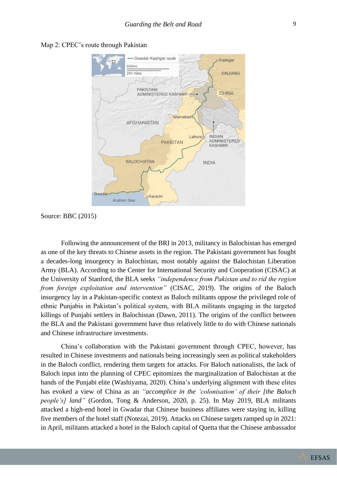

#### Map 2: CPEC's route through Pakistan

Source: BBC (2015)

Following the announcement of the BRI in 2013, militancy in Balochistan has emerged as one of the key threats to Chinese assets in the region. The Pakistani government has fought a decades-long insurgency in Balochistan, most notably against the Balochistan Liberation Army (BLA). According to the Center for International Security and Cooperation (CISAC) at the University of Stanford, the BLA seeks *"independence from Pakistan and to rid the region from foreign exploitation and intervention"* (CISAC, 2019). The origins of the Baloch insurgency lay in a Pakistan-specific context as Baloch militants oppose the privileged role of ethnic Punjabis in Pakistan's political system, with BLA militants engaging in the targeted killings of Punjabi settlers in Balochistan (Dawn, 2011). The origins of the conflict between the BLA and the Pakistani government have thus relatively little to do with Chinese nationals and Chinese infrastructure investments.

China's collaboration with the Pakistani government through CPEC, however, has resulted in Chinese investments and nationals being increasingly seen as political stakeholders in the Baloch conflict, rendering them targets for attacks. For Baloch nationalists, the lack of Baloch input into the planning of CPEC epitomizes the marginalization of Balochistan at the hands of the Punjabi elite (Washiyama, 2020). China's underlying alignment with these elites has evoked a view of China as an *"accomplice in the 'colonisation' of their [the Baloch people's] land"* (Gordon, Tong & Anderson, 2020, p. 25). In May 2019, BLA militants attacked a high-end hotel in Gwadar that Chinese business affiliates were staying in, killing five members of the hotel staff (Notezai, 2019). Attacks on Chinese targets ramped up in 2021: in April, militants attacked a hotel in the Baloch capital of Quetta that the Chinese ambassador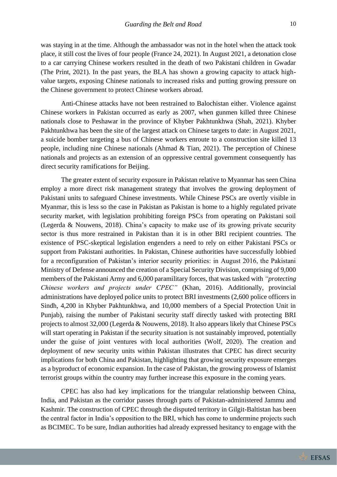was staying in at the time. Although the ambassador was not in the hotel when the attack took place, it still cost the lives of four people (France 24, 2021). In August 2021, a detonation close to a car carrying Chinese workers resulted in the death of two Pakistani children in Gwadar (The Print, 2021). In the past years, the BLA has shown a growing capacity to attack highvalue targets, exposing Chinese nationals to increased risks and putting growing pressure on the Chinese government to protect Chinese workers abroad.

Anti-Chinese attacks have not been restrained to Balochistan either. Violence against Chinese workers in Pakistan occurred as early as 2007, when gunmen killed three Chinese nationals close to Peshawar in the province of Khyber Pakhtunkhwa (Shah, 2021). Khyber Pakhtunkhwa has been the site of the largest attack on Chinese targets to date: in August 2021, a suicide bomber targeting a bus of Chinese workers enroute to a construction site killed 13 people, including nine Chinese nationals (Ahmad & Tian, 2021). The perception of Chinese nationals and projects as an extension of an oppressive central government consequently has direct security ramifications for Beijing.

The greater extent of security exposure in Pakistan relative to Myanmar has seen China employ a more direct risk management strategy that involves the growing deployment of Pakistani units to safeguard Chinese investments. While Chinese PSCs are overtly visible in Myanmar, this is less so the case in Pakistan as Pakistan is home to a highly regulated private security market, with legislation prohibiting foreign PSCs from operating on Pakistani soil (Legerda & Nouwens, 2018). China's capacity to make use of its growing private security sector is thus more restrained in Pakistan than it is in other BRI recipient countries. The existence of PSC-skeptical legislation engenders a need to rely on either Pakistani PSCs or support from Pakistani authorities. In Pakistan, Chinese authorities have successfully lobbied for a reconfiguration of Pakistan's interior security priorities: in August 2016, the Pakistani Ministry of Defense announced the creation of a Special Security Division, comprising of 9,000 members of the Pakistani Army and 6,000 paramilitary forces, that was tasked with *"protecting Chinese workers and projects under CPEC"* (Khan, 2016). Additionally, provincial administrations have deployed police units to protect BRI investments (2,600 police officers in Sindh, 4,200 in Khyber Pakhtunkhwa, and 10,000 members of a Special Protection Unit in Punjab), raising the number of Pakistani security staff directly tasked with protecting BRI projects to almost 32,000 (Legerda & Nouwens, 2018). It also appears likely that Chinese PSCs will start operating in Pakistan if the security situation is not sustainably improved, potentially under the guise of joint ventures with local authorities (Wolf, 2020). The creation and deployment of new security units within Pakistan illustrates that CPEC has direct security implications for both China and Pakistan, highlighting that growing security exposure emerges as a byproduct of economic expansion. In the case of Pakistan, the growing prowess of Islamist terrorist groups within the country may further increase this exposure in the coming years.

CPEC has also had key implications for the triangular relationship between China, India, and Pakistan as the corridor passes through parts of Pakistan-administered Jammu and Kashmir. The construction of CPEC through the disputed territory in Gilgit-Baltistan has been the central factor in India's opposition to the BRI, which has come to undermine projects such as BCIMEC. To be sure, Indian authorities had already expressed hesitancy to engage with the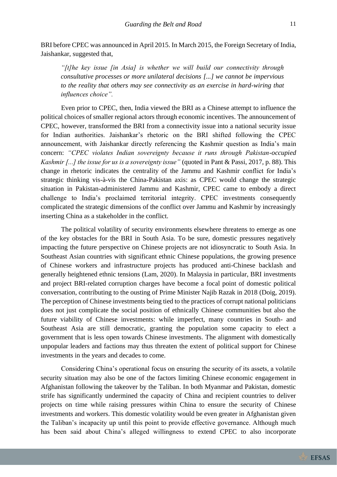BRI before CPEC was announced in April 2015. In March 2015, the Foreign Secretary of India, Jaishankar, suggested that,

*"[t]he key issue [in Asia] is whether we will build our connectivity through consultative processes or more unilateral decisions [...] we cannot be impervious to the reality that others may see connectivity as an exercise in hard-wiring that influences choice".* 

Even prior to CPEC, then, India viewed the BRI as a Chinese attempt to influence the political choices of smaller regional actors through economic incentives. The announcement of CPEC, however, transformed the BRI from a connectivity issue into a national security issue for Indian authorities. Jaishankar's rhetoric on the BRI shifted following the CPEC announcement, with Jaishankar directly referencing the Kashmir question as India's main concern: *"CPEC violates Indian sovereignty because it runs through Pakistan-occupied Kashmir [...] the issue for us is a sovereignty issue"* (quoted in Pant & Passi, 2017, p. 88). This change in rhetoric indicates the centrality of the Jammu and Kashmir conflict for India's strategic thinking vis-à-vis the China-Pakistan axis: as CPEC would change the strategic situation in Pakistan-administered Jammu and Kashmir, CPEC came to embody a direct challenge to India's proclaimed territorial integrity. CPEC investments consequently complicated the strategic dimensions of the conflict over Jammu and Kashmir by increasingly inserting China as a stakeholder in the conflict.

The political volatility of security environments elsewhere threatens to emerge as one of the key obstacles for the BRI in South Asia. To be sure, domestic pressures negatively impacting the future perspective on Chinese projects are not idiosyncratic to South Asia. In Southeast Asian countries with significant ethnic Chinese populations, the growing presence of Chinese workers and infrastructure projects has produced anti-Chinese backlash and generally heightened ethnic tensions (Lam, 2020). In Malaysia in particular, BRI investments and project BRI-related corruption charges have become a focal point of domestic political conversation, contributing to the ousting of Prime Minister Najib Razak in 2018 (Doig, 2019). The perception of Chinese investments being tied to the practices of corrupt national politicians does not just complicate the social position of ethnically Chinese communities but also the future viability of Chinese investments: while imperfect, many countries in South- and Southeast Asia are still democratic, granting the population some capacity to elect a government that is less open towards Chinese investments. The alignment with domestically unpopular leaders and factions may thus threaten the extent of political support for Chinese investments in the years and decades to come.

Considering China's operational focus on ensuring the security of its assets, a volatile security situation may also be one of the factors limiting Chinese economic engagement in Afghanistan following the takeover by the Taliban. In both Myanmar and Pakistan, domestic strife has significantly undermined the capacity of China and recipient countries to deliver projects on time while raising pressures within China to ensure the security of Chinese investments and workers. This domestic volatility would be even greater in Afghanistan given the Taliban's incapacity up until this point to provide effective governance. Although much has been said about China's alleged willingness to extend CPEC to also incorporate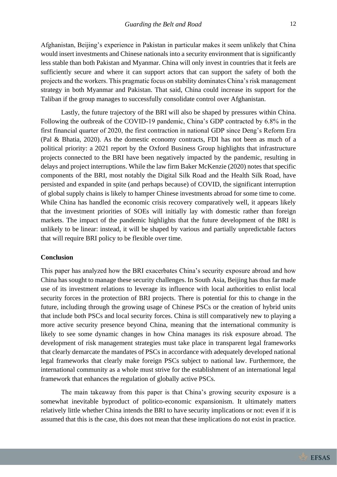Afghanistan, Beijing's experience in Pakistan in particular makes it seem unlikely that China would insert investments and Chinese nationals into a security environment that is significantly less stable than both Pakistan and Myanmar. China will only invest in countries that it feels are sufficiently secure and where it can support actors that can support the safety of both the projects and the workers. This pragmatic focus on stability dominates China's risk management strategy in both Myanmar and Pakistan. That said, China could increase its support for the Taliban if the group manages to successfully consolidate control over Afghanistan.

Lastly, the future trajectory of the BRI will also be shaped by pressures within China. Following the outbreak of the COVID-19 pandemic, China's GDP contracted by 6.8% in the first financial quarter of 2020, the first contraction in national GDP since Deng's Reform Era (Pal & Bhatia, 2020). As the domestic economy contracts, FDI has not been as much of a political priority: a 2021 report by the Oxford Business Group highlights that infrastructure projects connected to the BRI have been negatively impacted by the pandemic, resulting in delays and project interruptions. While the law firm Baker McKenzie (2020) notes that specific components of the BRI, most notably the Digital Silk Road and the Health Silk Road, have persisted and expanded in spite (and perhaps because) of COVID, the significant interruption of global supply chains is likely to hamper Chinese investments abroad for some time to come. While China has handled the economic crisis recovery comparatively well, it appears likely that the investment priorities of SOEs will initially lay with domestic rather than foreign markets. The impact of the pandemic highlights that the future development of the BRI is unlikely to be linear: instead, it will be shaped by various and partially unpredictable factors that will require BRI policy to be flexible over time.

#### **Conclusion**

This paper has analyzed how the BRI exacerbates China's security exposure abroad and how China has sought to manage these security challenges. In South Asia, Beijing has thus far made use of its investment relations to leverage its influence with local authorities to enlist local security forces in the protection of BRI projects. There is potential for this to change in the future, including through the growing usage of Chinese PSCs or the creation of hybrid units that include both PSCs and local security forces. China is still comparatively new to playing a more active security presence beyond China, meaning that the international community is likely to see some dynamic changes in how China manages its risk exposure abroad. The development of risk management strategies must take place in transparent legal frameworks that clearly demarcate the mandates of PSCs in accordance with adequately developed national legal frameworks that clearly make foreign PSCs subject to national law. Furthermore, the international community as a whole must strive for the establishment of an international legal framework that enhances the regulation of globally active PSCs.

The main takeaway from this paper is that China's growing security exposure is a somewhat inevitable byproduct of politico-economic expansionism. It ultimately matters relatively little whether China intends the BRI to have security implications or not: even if it is assumed that this is the case, this does not mean that these implications do not exist in practice.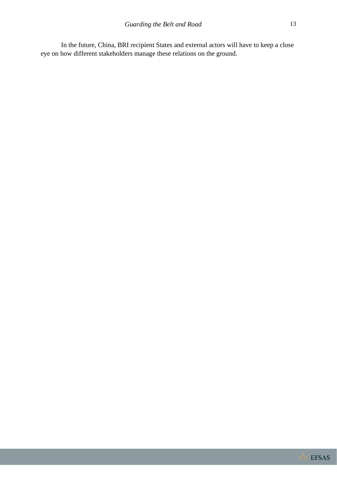In the future, China, BRI recipient States and external actors will have to keep a close eye on how different stakeholders manage these relations on the ground.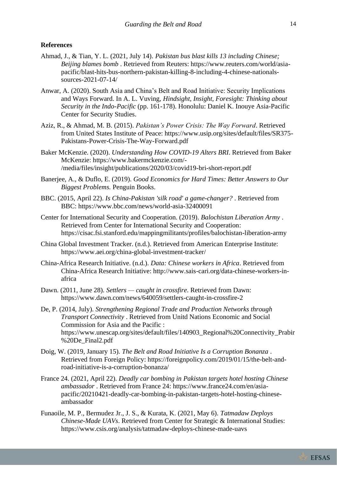#### **References**

- Ahmad, J., & Tian, Y. L. (2021, July 14). *Pakistan bus blast kills 13 including Chinese; Beijing blames bomb* . Retrieved from Reuters: https://www.reuters.com/world/asiapacific/blast-hits-bus-northern-pakistan-killing-8-including-4-chinese-nationalssources-2021-07-14/
- Anwar, A. (2020). South Asia and China's Belt and Road Initiative: Security Implications and Ways Forward. In A. L. Vuving, *Hindsight, Insight, Foresight: Thinking about Security in the Indo-Pacific* (pp. 161-178). Honolulu: Daniel K. Inouye Asia-Pacific Center for Security Studies.
- Aziz, R., & Ahmad, M. B. (2015). *Pakistan's Power Crisis: The Way Forward*. Retrieved from United States Institute of Peace: https://www.usip.org/sites/default/files/SR375- Pakistans-Power-Crisis-The-Way-Forward.pdf
- Baker McKenzie. (2020). *Understanding How COVID-19 Alters BRI*. Retrieved from Baker McKenzie: https://www.bakermckenzie.com/- /media/files/insight/publications/2020/03/covid19-bri-short-report.pdf
- Banerjee, A., & Duflo, E. (2019). *Good Economics for Hard Times: Better Answers to Our Biggest Problems.* Penguin Books.
- BBC. (2015, April 22). *Is China-Pakistan 'silk road' a game-changer?* . Retrieved from BBC: https://www.bbc.com/news/world-asia-32400091
- Center for International Security and Cooperation. (2019). *Balochistan Liberation Army* . Retrieved from Center for International Security and Cooperation: https://cisac.fsi.stanford.edu/mappingmilitants/profiles/balochistan-liberation-army
- China Global Investment Tracker. (n.d.). Retrieved from American Enterprise Institute: https://www.aei.org/china-global-investment-tracker/
- China-Africa Research Initiative. (n.d.). *Data: Chinese workers in Africa*. Retrieved from China-Africa Research Initiative: http://www.sais-cari.org/data-chinese-workers-inafrica
- Dawn. (2011, June 28). *Settlers — caught in crossfire*. Retrieved from Dawn: https://www.dawn.com/news/640059/settlers-caught-in-crossfire-2

De, P. (2014, July). *Strengthening Regional Trade and Production Networks through Transport Connectivity* . Retrieved from Unitd Nations Economic and Social Commission for Asia and the Pacific : https://www.unescap.org/sites/default/files/140903\_Regional%20Connectivity\_Prabir %20De\_Final2.pdf

Doig, W. (2019, January 15). *The Belt and Road Initiative Is a Corruption Bonanza* . Retrieved from Foreign Policy: https://foreignpolicy.com/2019/01/15/the-belt-androad-initiative-is-a-corruption-bonanza/

France 24. (2021, April 22). *Deadly car bombing in Pakistan targets hotel hosting Chinese ambassador* . Retrieved from France 24: https://www.france24.com/en/asiapacific/20210421-deadly-car-bombing-in-pakistan-targets-hotel-hosting-chineseambassador

Funaoile, M. P., Bermudez Jr., J. S., & Kurata, K. (2021, May 6). *Tatmadaw Deploys Chinese-Made UAVs*. Retrieved from Center for Strategic & International Studies: https://www.csis.org/analysis/tatmadaw-deploys-chinese-made-uavs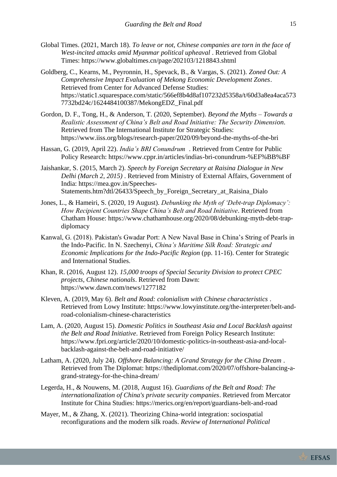- Global Times. (2021, March 18). *To leave or not, Chinese companies are torn in the face of West-incited attacks amid Myanmar political upheaval* . Retrieved from Global Times: https://www.globaltimes.cn/page/202103/1218843.shtml
- Goldberg, C., Kearns, M., Peyronnin, H., Spevack, B., & Vargas, S. (2021). *Zoned Out: A Comprehensive Impact Evaluation of Mekong Economic Development Zones*. Retrieved from Center for Advanced Defense Studies: https://static1.squarespace.com/static/566ef8b4d8af107232d5358a/t/60d3a8ea4aca573 7732bd24c/1624484100387/MekongEDZ\_Final.pdf
- Gordon, D. F., Tong, H., & Anderson, T. (2020, September). *Beyond the Myths – Towards a Realistic Assessment of China's Belt and Road Initiative: The Security Dimension*. Retrieved from The International Institute for Strategic Studies: https://www.iiss.org/blogs/research-paper/2020/09/beyond-the-myths-of-the-bri
- Hassan, G. (2019, April 22). *India's BRI Conundrum* . Retrieved from Centre for Public Policy Research: https://www.cppr.in/articles/indias-bri-conundrum-%EF%BB%BF
- Jaishankar, S. (2015, March 2). *Speech by Foreign Secretary at Raisina Dialogue in New Delhi (March 2, 2015)* . Retrieved from Ministry of External Affairs, Government of India: https://mea.gov.in/Speeches-Statements.htm?dtl/26433/Speech\_by\_Foreign\_Secretary\_at\_Raisina\_Dialo
- Jones, L., & Hameiri, S. (2020, 19 August). *Debunking the Myth of 'Debt-trap Diplomacy': How Recipient Countries Shape China's Belt and Road Initiative*. Retrieved from Chatham House: https://www.chathamhouse.org/2020/08/debunking-myth-debt-trapdiplomacy
- Kanwal, G. (2018). Pakistan's Gwadar Port: A New Naval Base in China's String of Pearls in the Indo-Pacific. In N. Szechenyi, *China's Maritime Silk Road: Strategic and Economic Implications for the Indo-Pacific Region* (pp. 11-16). Center for Strategic and International Studies.
- Khan, R. (2016, August 12). *15,000 troops of Special Security Division to protect CPEC projects, Chinese nationals*. Retrieved from Dawn: https://www.dawn.com/news/1277182
- Kleven, A. (2019, May 6). *Belt and Road: colonialism with Chinese characteristics* . Retrieved from Lowy Institute: https://www.lowyinstitute.org/the-interpreter/belt-androad-colonialism-chinese-characteristics
- Lam, A. (2020, August 15). *Domestic Politics in Southeast Asia and Local Backlash against the Belt and Road Initiative*. Retrieved from Foreign Policy Research Institute: https://www.fpri.org/article/2020/10/domestic-politics-in-southeast-asia-and-localbacklash-against-the-belt-and-road-initiative/
- Latham, A. (2020, July 24). *Offshore Balancing: A Grand Strategy for the China Dream* . Retrieved from The Diplomat: https://thediplomat.com/2020/07/offshore-balancing-agrand-strategy-for-the-china-dream/
- Legerda, H., & Nouwens, M. (2018, August 16). *Guardians of the Belt and Road: The internationalization of China's private security companies*. Retrieved from Mercator Institute for China Studies: https://merics.org/en/report/guardians-belt-and-road
- Mayer, M., & Zhang, X. (2021). Theorizing China-world integration: sociospatial reconfigurations and the modern silk roads. *Review of International Political*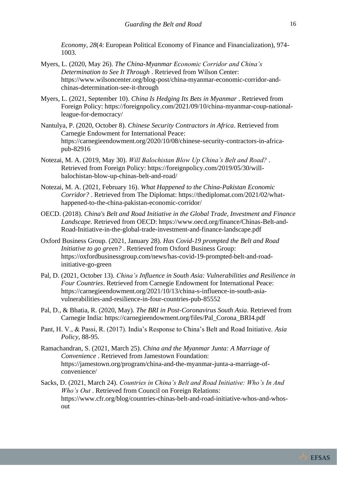*Economy, 28*(4: European Political Economy of Finance and Financialization), 974-1003.

- Myers, L. (2020, May 26). *The China-Myanmar Economic Corridor and China's Determination to See It Through* . Retrieved from Wilson Center: https://www.wilsoncenter.org/blog-post/china-myanmar-economic-corridor-andchinas-determination-see-it-through
- Myers, L. (2021, September 10). *China Is Hedging Its Bets in Myanmar* . Retrieved from Foreign Policy: https://foreignpolicy.com/2021/09/10/china-myanmar-coup-nationalleague-for-democracy/
- Nantulya, P. (2020, October 8). *Chinese Security Contractors in Africa*. Retrieved from Carnegie Endowment for International Peace: https://carnegieendowment.org/2020/10/08/chinese-security-contractors-in-africapub-82916
- Notezai, M. A. (2019, May 30). *Will Balochistan Blow Up China's Belt and Road?* . Retrieved from Foreign Policy: https://foreignpolicy.com/2019/05/30/willbalochistan-blow-up-chinas-belt-and-road/
- Notezai, M. A. (2021, February 16). *What Happened to the China-Pakistan Economic Corridor?* . Retrieved from The Diplomat: https://thediplomat.com/2021/02/whathappened-to-the-china-pakistan-economic-corridor/
- OECD. (2018). *China's Belt and Road Initiative in the Global Trade, Investment and Finance Landscape*. Retrieved from OECD: https://www.oecd.org/finance/Chinas-Belt-and-Road-Initiative-in-the-global-trade-investment-and-finance-landscape.pdf
- Oxford Business Group. (2021, January 28). *Has Covid-19 prompted the Belt and Road Initiative to go green?* . Retrieved from Oxford Business Group: https://oxfordbusinessgroup.com/news/has-covid-19-prompted-belt-and-roadinitiative-go-green
- Pal, D. (2021, October 13). *China's Influence in South Asia: Vulnerabilities and Resilience in Four Countries*. Retrieved from Carnegie Endowment for International Peace: https://carnegieendowment.org/2021/10/13/china-s-influence-in-south-asiavulnerabilities-and-resilience-in-four-countries-pub-85552
- Pal, D., & Bhatia, R. (2020, May). *The BRI in Post-Coronavirus South Asia*. Retrieved from Carnegie India: https://carnegieendowment.org/files/Pal\_Corona\_BRI4.pdf
- Pant, H. V., & Passi, R. (2017). India's Response to China's Belt and Road Initiative. *Asia Policy*, 88-95.
- Ramachandran, S. (2021, March 25). *China and the Myanmar Junta: A Marriage of Convenience* . Retrieved from Jamestown Foundation: https://jamestown.org/program/china-and-the-myanmar-junta-a-marriage-ofconvenience/
- Sacks, D. (2021, March 24). *Countries in China's Belt and Road Initiative: Who's In And Who's Out* . Retrieved from Council on Foreign Relations: https://www.cfr.org/blog/countries-chinas-belt-and-road-initiative-whos-and-whosout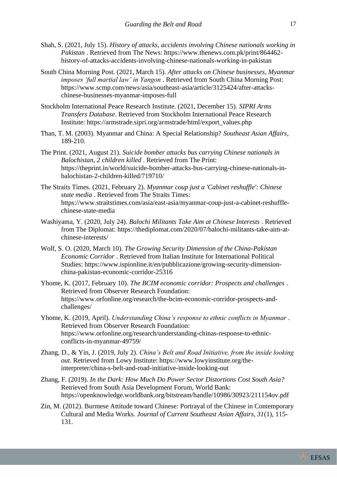- Shah, S. (2021, July 15). *History of attacks, accidents involving Chinese nationals working in Pakistan* . Retrieved from The News: https://www.thenews.com.pk/print/864462 history-of-attacks-accidents-involving-chinese-nationals-working-in-pakistan
- South China Morning Post. (2021, March 15). *After attacks on Chinese businesses, Myanmar imposes 'full martial law' in Yangon* . Retrieved from South China Morning Post: https://www.scmp.com/news/asia/southeast-asia/article/3125424/after-attackschinese-businesses-myanmar-imposes-full
- Stockholm International Peace Research Institute. (2021, December 15). *SIPRI Arms Transfers Database*. Retrieved from Stockholm International Peace Research Institute: https://armstrade.sipri.org/armstrade/html/export\_values.php
- Than, T. M. (2003). Myanmar and China: A Special Relationship? *Southeast Asian Affairs*, 189-210.
- The Print. (2021, August 21). *Suicide bomber attacks bus carrying Chinese nationals in Balochistan, 2 children killed* . Retrieved from The Print: https://theprint.in/world/suicide-bomber-attacks-bus-carrying-chinese-nationals-inbalochistan-2-children-killed/719710/
- The Straits Times. (2021, February 2). *Myanmar coup just a 'Cabinet reshuffle': Chinese state media* . Retrieved from The Straits Times: https://www.straitstimes.com/asia/east-asia/myanmar-coup-just-a-cabinet-reshufflechinese-state-media
- Washiyama, Y. (2020, July 24). *Balochi Militants Take Aim at Chinese Interests* . Retrieved from The Diplomat: https://thediplomat.com/2020/07/balochi-militants-take-aim-atchinese-interests/
- Wolf, S. O. (2020, March 10). *The Growing Security Dimension of the China-Pakistan Economic Corridor* . Retrieved from Italian Institute for International Political Studies: https://www.ispionline.it/en/pubblicazione/growing-security-dimensionchina-pakistan-economic-corridor-25316
- Yhome, K. (2017, February 10). *The BCIM economic corridor: Prospects and challenges* . Retrieved from Observer Research Foundation: https://www.orfonline.org/research/the-bcim-economic-corridor-prospects-andchallenges/
- Yhome, K. (2019, April). *Understanding China's response to ethnic conflicts in Myanmar* . Retrieved from Observer Research Foundation: https://www.orfonline.org/research/understanding-chinas-response-to-ethnicconflicts-in-myanmar-49759/
- Zhang, D., & Yin, J. (2019, July 2). *China's Belt and Road Initiative, from the inside looking out*. Retrieved from Lowy Institute: https://www.lowyinstitute.org/theinterpreter/china-s-belt-and-road-initiative-inside-looking-out
- Zhang, F. (2019). *In the Dark: How Much Do Power Sector Distortions Cost South Asia?* Retrieved from South Asia Development Forum, World Bank: https://openknowledge.worldbank.org/bitstream/handle/10986/30923/211154ov.pdf
- Zin, M. (2012). Burmese Attitude toward Chinese: Portrayal of the Chinese in Contemporary Cultural and Media Works. *Journal of Current Southeast Asian Affairs, 31*(1), 115- 131.